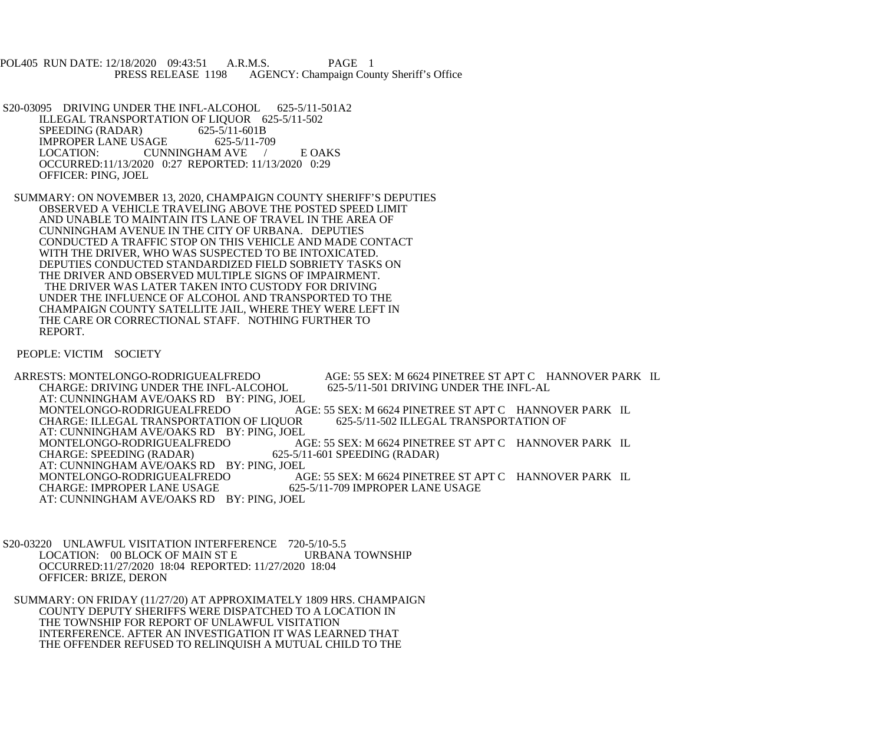POL405 RUN DATE: 12/18/2020 09:43:51 A.R.M.S. PAGE 1<br>PRESS RELEASE 1198 AGENCY: Champaign Cou AGENCY: Champaign County Sheriff's Office

S20-03095 DRIVING UNDER THE INFL-ALCOHOL 625-5/11-501A2 ILLEGAL TRANSPORTATION OF LIQUOR 625-5/11-502<br>SPEEDING (RADAR) 625-5/11-601B SPEEDING (RADAR) 625-5/11-601B<br>IMPROPER LANE USAGE 625-5/11-709 IMPROPER LANE USAGE<br>LOCATION: CUN CUNNINGHAM AVE / E OAKS OCCURRED:11/13/2020 0:27 REPORTED: 11/13/2020 0:29 OFFICER: PING, JOEL

 SUMMARY: ON NOVEMBER 13, 2020, CHAMPAIGN COUNTY SHERIFF'S DEPUTIES OBSERVED A VEHICLE TRAVELING ABOVE THE POSTED SPEED LIMIT AND UNABLE TO MAINTAIN ITS LANE OF TRAVEL IN THE AREA OF CUNNINGHAM AVENUE IN THE CITY OF URBANA. DEPUTIES CONDUCTED A TRAFFIC STOP ON THIS VEHICLE AND MADE CONTACT WITH THE DRIVER, WHO WAS SUSPECTED TO BE INTOXICATED. DEPUTIES CONDUCTED STANDARDIZED FIELD SOBRIETY TASKS ON THE DRIVER AND OBSERVED MULTIPLE SIGNS OF IMPAIRMENT. THE DRIVER WAS LATER TAKEN INTO CUSTODY FOR DRIVING UNDER THE INFLUENCE OF ALCOHOL AND TRANSPORTED TO THE CHAMPAIGN COUNTY SATELLITE JAIL, WHERE THEY WERE LEFT IN THE CARE OR CORRECTIONAL STAFF. NOTHING FURTHER TO REPORT.

PEOPLE: VICTIM SOCIETY

ARRESTS: MONTELONGO-RODRIGUEALFREDO AGE: 55 SEX: M 6624 PINETREE ST APT C HANNOVER PARK IL<br>CHARGE: DRIVING UNDER THE INFL-ALCOHOL 625-5/11-501 DRIVING UNDER THE INFL-AL CHARGE: DRIVING UNDER THE INFL-ALCOHOL AT: CUNNINGHAM AVE/OAKS RD BY: PING, JOEL<br>MONTELONGO-RODRIGUEALFREDO AC AGE: 55 SEX: M 6624 PINETREE ST APT C HANNOVER PARK IL<br>DR 625-5/11-502 ILLEGAL TRANSPORTATION OF CHARGE: ILLEGAL TRANSPORTATION OF LIQUOR AT: CUNNINGHAM AVE/OAKS RD BY: PING, JOEL<br>MONTELONGO-RODRIGUEALFREDO AC MONTELONGO-RODRIGUEALFREDO AGE: 55 SEX: M 6624 PINETREE ST APT C HANNOVER PARK IL<br>CHARGE: SPEEDING (RADAR) 625-5/11-601 SPEEDING (RADAR) 625-5/11-601 SPEEDING (RADAR) AT: CUNNINGHAM AVE/OAKS RD BY: PING, JOEL<br>MONTELONGO-RODRIGUEALFREDO AC AGE: 55 SEX: M 6624 PINETREE ST APT C HANNOVER PARK IL<br>625-5/11-709 IMPROPER LANE USAGE CHARGE: IMPROPER LANE USAGE AT: CUNNINGHAM AVE/OAKS RD BY: PING, JOEL

S20-03220 UNLAWFUL VISITATION INTERFERENCE 720-5/10-5.5<br>LOCATION: 00 BLOCK OF MAIN ST E URBANA TOWNSHIP LOCATION: 00 BLOCK OF MAIN ST E OCCURRED:11/27/2020 18:04 REPORTED: 11/27/2020 18:04 OFFICER: BRIZE, DERON

 SUMMARY: ON FRIDAY (11/27/20) AT APPROXIMATELY 1809 HRS. CHAMPAIGN COUNTY DEPUTY SHERIFFS WERE DISPATCHED TO A LOCATION IN THE TOWNSHIP FOR REPORT OF UNLAWFUL VISITATION INTERFERENCE. AFTER AN INVESTIGATION IT WAS LEARNED THAT THE OFFENDER REFUSED TO RELINQUISH A MUTUAL CHILD TO THE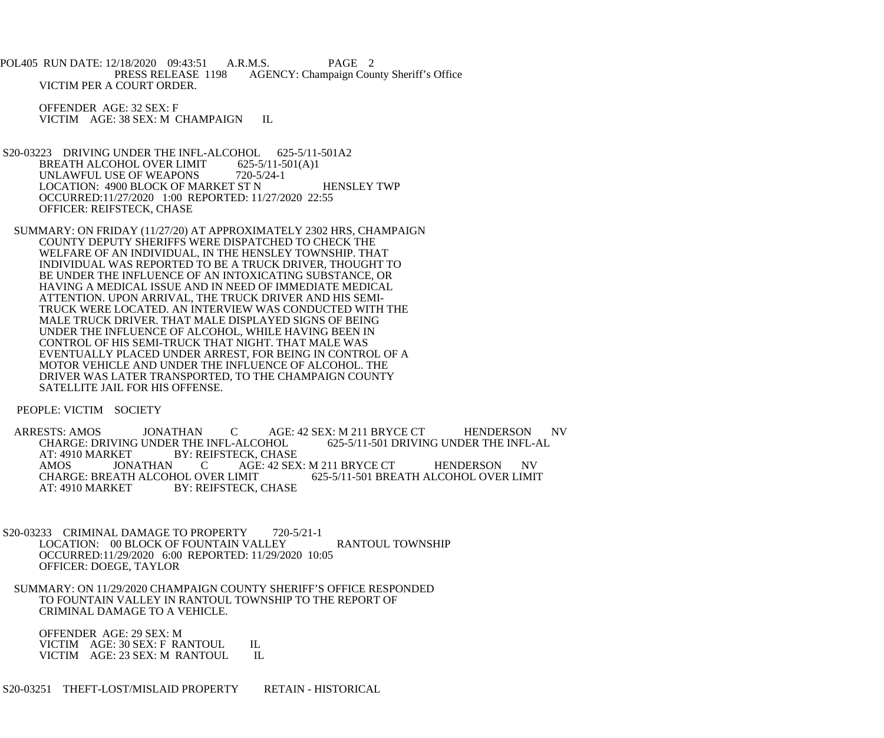POL405 RUN DATE: 12/18/2020 09:43:51 A.R.M.S. PAGE 2<br>PRESS RELEASE 1198 AGENCY: Champaign Cou AGENCY: Champaign County Sheriff's Office VICTIM PER A COURT ORDER.

 OFFENDER AGE: 32 SEX: F VICTIM AGE: 38 SEX: M CHAMPAIGN IL

- S20-03223 DRIVING UNDER THE INFL-ALCOHOL 625-5/11-501A2<br>BREATH ALCOHOL OVER LIMIT 625-5/11-501(A)1 BREATH ALCOHOL OVER LIMIT 625-5/11-5<br>UNLAWFUL USE OF WEAPONS 720-5/24-1 UNLAWFUL USE OF WEAPONS LOCATION: 4900 BLOCK OF MARKET ST N HENSLEY TWP OCCURRED:11/27/2020 1:00 REPORTED: 11/27/2020 22:55 OFFICER: REIFSTECK, CHASE
- SUMMARY: ON FRIDAY (11/27/20) AT APPROXIMATELY 2302 HRS, CHAMPAIGN COUNTY DEPUTY SHERIFFS WERE DISPATCHED TO CHECK THE WELFARE OF AN INDIVIDUAL, IN THE HENSLEY TOWNSHIP. THAT INDIVIDUAL WAS REPORTED TO BE A TRUCK DRIVER, THOUGHT TO BE UNDER THE INFLUENCE OF AN INTOXICATING SUBSTANCE, OR HAVING A MEDICAL ISSUE AND IN NEED OF IMMEDIATE MEDICAL ATTENTION. UPON ARRIVAL, THE TRUCK DRIVER AND HIS SEMI- TRUCK WERE LOCATED. AN INTERVIEW WAS CONDUCTED WITH THE MALE TRUCK DRIVER. THAT MALE DISPLAYED SIGNS OF BEING UNDER THE INFLUENCE OF ALCOHOL, WHILE HAVING BEEN IN CONTROL OF HIS SEMI-TRUCK THAT NIGHT. THAT MALE WAS EVENTUALLY PLACED UNDER ARREST, FOR BEING IN CONTROL OF A MOTOR VEHICLE AND UNDER THE INFLUENCE OF ALCOHOL. THE DRIVER WAS LATER TRANSPORTED, TO THE CHAMPAIGN COUNTY SATELLITE JAIL FOR HIS OFFENSE.

PEOPLE: VICTIM SOCIETY

ARRESTS: AMOS JONATHAN C AGE: 42 SEX: M 211 BRYCE CT HENDERSON NV<br>CHARGE: DRIVING UNDER THE INFL-ALCOHOL 625-5/11-501 DRIVING UNDER THE INFL-AL CHARGE: DRIVING UNDER THE INFL-ALCOHOL AT: 4910 MARKET BY: REIFSTECK, CHASE<br>AMOS JONATHAN C AGE: 42 SEX AMOS JONATHAN C AGE: 42 SEX: M 211 BRYCE CT HENDERSON NV CHARGE: BREATH ALCOHOL OVER LIMIT 625-5/11-501 BREATH ALCOHOL OVER LIMIT CHARGE: BREATH ALCOHOL OVER LIMIT 625-5/11-501 BREATH ALCOHOL OVER LIMIT<br>AT: 4910 MARKET BY: REIFSTECK. CHASE **BY: REIFSTECK, CHASE** 

- S20-03233 CRIMINAL DAMAGE TO PROPERTY 720-5/21-1 LOCATION: 00 BLOCK OF FOUNTAIN VALLEY RANTOUL TOWNSHIP OCCURRED:11/29/2020 6:00 REPORTED: 11/29/2020 10:05 OFFICER: DOEGE, TAYLOR
- SUMMARY: ON 11/29/2020 CHAMPAIGN COUNTY SHERIFF'S OFFICE RESPONDED TO FOUNTAIN VALLEY IN RANTOUL TOWNSHIP TO THE REPORT OF CRIMINAL DAMAGE TO A VEHICLE.

 OFFENDER AGE: 29 SEX: M VICTIM AGE: 30 SEX: F RANTOUL IL<br>VICTIM AGE: 23 SEX: M RANTOUL IL VICTIM AGE: 23 SEX: M RANTOUL

S20-03251 THEFT-LOST/MISLAID PROPERTY RETAIN - HISTORICAL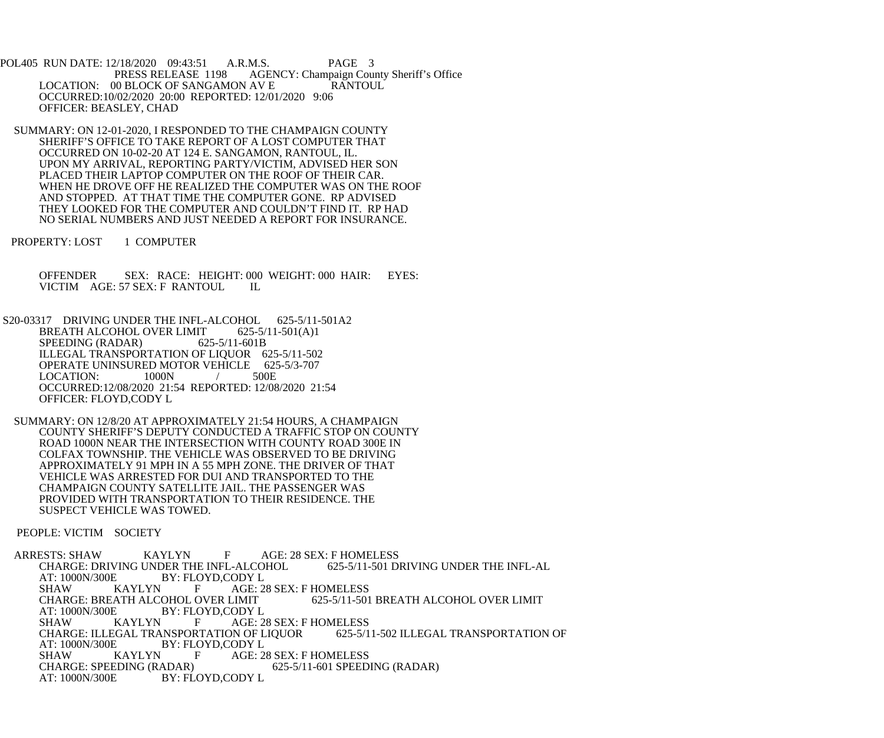POL405 RUN DATE: 12/18/2020 09:43:51 A.R.M.S. PAGE 3<br>PRESS RELEASE 1198 AGENCY: Champaign Cou AGENCY: Champaign County Sheriff's Office LOCATION: 00 BLOCK OF SANGAMON AV E RANTOUL OCCURRED:10/02/2020 20:00 REPORTED: 12/01/2020 9:06 OFFICER: BEASLEY, CHAD

 SUMMARY: ON 12-01-2020, I RESPONDED TO THE CHAMPAIGN COUNTY SHERIFF'S OFFICE TO TAKE REPORT OF A LOST COMPUTER THAT OCCURRED ON 10-02-20 AT 124 E. SANGAMON, RANTOUL, IL. UPON MY ARRIVAL, REPORTING PARTY/VICTIM, ADVISED HER SON PLACED THEIR LAPTOP COMPUTER ON THE ROOF OF THEIR CAR. WHEN HE DROVE OFF HE REALIZED THE COMPUTER WAS ON THE ROOF AND STOPPED. AT THAT TIME THE COMPUTER GONE. RP ADVISED THEY LOOKED FOR THE COMPUTER AND COULDN'T FIND IT. RP HAD NO SERIAL NUMBERS AND JUST NEEDED A REPORT FOR INSURANCE.

PROPERTY: LOST 1 COMPUTER

 OFFENDER SEX: RACE: HEIGHT: 000 WEIGHT: 000 HAIR: EYES: VICTIM AGE: 57 SEX: F RANTOUL IL

S20-03317 DRIVING UNDER THE INFL-ALCOHOL 625-5/11-501A2 BREATH ALCOHOL OVER LIMIT 625-5/11-501(A)1<br>SPEEDING (RADAR) 625-5/11-601B SPEEDING (RADAR) ILLEGAL TRANSPORTATION OF LIQUOR 625-5/11-502 OPERATE UNINSURED MOTOR VEHICLE 625-5/3-707 LOCATION: 1000N / 500E OCCURRED:12/08/2020 21:54 REPORTED: 12/08/2020 21:54 OFFICER: FLOYD,CODY L

 SUMMARY: ON 12/8/20 AT APPROXIMATELY 21:54 HOURS, A CHAMPAIGN COUNTY SHERIFF'S DEPUTY CONDUCTED A TRAFFIC STOP ON COUNTY ROAD 1000N NEAR THE INTERSECTION WITH COUNTY ROAD 300E IN COLFAX TOWNSHIP. THE VEHICLE WAS OBSERVED TO BE DRIVING APPROXIMATELY 91 MPH IN A 55 MPH ZONE. THE DRIVER OF THAT VEHICLE WAS ARRESTED FOR DUI AND TRANSPORTED TO THE CHAMPAIGN COUNTY SATELLITE JAIL. THE PASSENGER WAS PROVIDED WITH TRANSPORTATION TO THEIR RESIDENCE. THE SUSPECT VEHICLE WAS TOWED.

PEOPLE: VICTIM SOCIETY

 ARRESTS: SHAW KAYLYN F AGE: 28 SEX: F HOMELESS CHARGE: DRIVING UNDER THE INFL-ALCOHOL 625-5/11-501 DRIVING UNDER THE INFL-AL<br>AT: 1000N/300E BY: FLOYD,CODY L AT: 1000N/300E BY: FLOYD,CODY L<br>SHAW KAYLYN F AGE: 2 SHAW KAYLYN F AGE: 28 SEX: F HOMELESS<br>CHARGE: BREATH ALCOHOL OVER LIMIT 625-5/11-501 CHARGE: BREATH ALCOHOL OVER LIMIT 625-5/11-501 BREATH ALCOHOL OVER LIMIT<br>AT: 1000N/300E BY: FLOYD.CODY L BY: FLOYD,CODY L SHAW KAYLYN F AGE: 28 SEX: F HOMELESS CHARGE: ILLEGAL TRANSPORTATION OF LIQUOR 625-5/11-502 ILLEGAL TRANSPORTATION OF AT: 1000N/300E BY: FLOYD.CODY L AT: 1000N/300E BY: FLOYD,CODY L<br>SHAW KAYLYN F AGE: 2 SHAW KAYLYN F AGE: 28 SEX: F HOMELESS<br>CHARGE: SPEEDING (RADAR) 625-5/11-601 SPEED 625-5/11-601 SPEEDING (RADAR) AT: 1000N/300E BY: FLOYD.CODY L